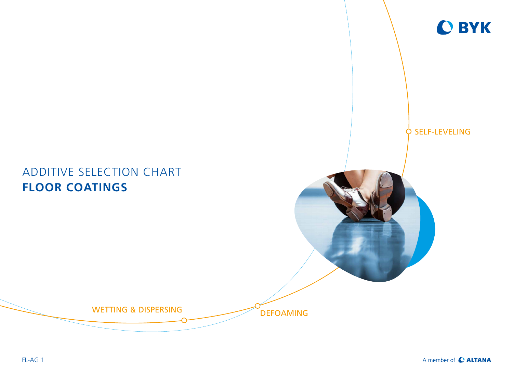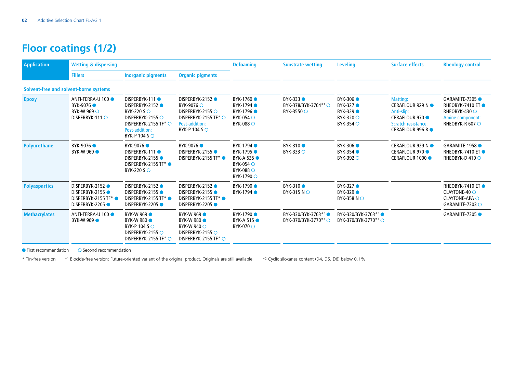## **Floor coatings (1/2)**

| <b>Application</b>                     | <b>Wetting &amp; dispersing</b>                                                  |                                                                                                                                     |                                                                                                                                   | <b>Defoaming</b>                                                                                         | <b>Substrate wetting</b>                                           | <b>Leveling</b>                                                             | <b>Surface effects</b>                                                                                                         | <b>Rheology control</b>                                                                            |
|----------------------------------------|----------------------------------------------------------------------------------|-------------------------------------------------------------------------------------------------------------------------------------|-----------------------------------------------------------------------------------------------------------------------------------|----------------------------------------------------------------------------------------------------------|--------------------------------------------------------------------|-----------------------------------------------------------------------------|--------------------------------------------------------------------------------------------------------------------------------|----------------------------------------------------------------------------------------------------|
|                                        | <b>Fillers</b>                                                                   | <b>Inorganic pigments</b>                                                                                                           | <b>Organic pigments</b>                                                                                                           |                                                                                                          |                                                                    |                                                                             |                                                                                                                                |                                                                                                    |
| Solvent-free and solvent-borne systems |                                                                                  |                                                                                                                                     |                                                                                                                                   |                                                                                                          |                                                                    |                                                                             |                                                                                                                                |                                                                                                    |
| <b>Epoxy</b>                           | ANTI-TERRA-U 100<br>BYK-9076 ●<br><b>BYK-W 969 ○</b><br>DISPERBYK-111 $\circ$    | DISPERBYK-111<br>DISPERBYK-2152<br>BYK-220 S ○<br>DISPERBYK-2155 O<br>DISPERBYK-2155 TF* O<br>Post-addition:<br>BYK-P 104 S $\circ$ | DISPERBYK-2152<br>BYK-9076 ○<br>DISPERBYK-2155 $\bigcirc$<br>DISPERBYK-2155 TF* ○<br><b>Post-addition:</b><br>BYK-P 104 S $\circ$ | BYK-1760 ●<br>BYK-1794 ●<br>BYK-1796 •<br><b>BYK-054</b> ○<br>$BYK-088$ $\circlearrowright$              | BYK-333 ●<br>BYK-378/BYK-3764* <sup>2</sup> ○<br>BYK-3550 ○        | BYK-306 ●<br>BYK-327 ●<br>BYK-329 ●<br><b>BYK-320</b> ○<br><b>BYK-354</b> ○ | <b>Matting:</b><br>CERAFLOUR 929 N ●<br>Anti-slip:<br><b>CERAFLOUR 970 ·</b><br>Scratch resistance:<br><b>CERAFLOUR 996 RO</b> | GARAMITE-7305 ●<br>RHEOBYK-7410 ET ●<br>RHEOBYK-430 ○<br>Amine component:<br>RHEOBYK-R 607 $\circ$ |
| <b>Polyurethane</b>                    | BYK-9076<br>BYK-W 969 ·                                                          | BYK-9076 ●<br>DISPERBYK-111<br>DISPERBYK-2155<br>DISPERBYK-2155 TF*<br>BYK-220 S ○                                                  | BYK-9076 ●<br>DISPERBYK-2155<br>DISPERBYK-2155 TF* ●                                                                              | BYK-1794 •<br>BYK-1795 ●<br>BYK-A 535<br>$BYK-054$ $\circlearrowright$<br><b>BYK-088</b> ○<br>BYK-1790 ○ | BYK-310 ●<br>BYK-333 ○                                             | BYK-306 ●<br>BYK-354 ●<br><b>BYK-392 ○</b>                                  | CERAFLOUR 929 N ●<br><b>CERAFLOUR 970 ·</b><br>CERAFLOUR 1000 ●                                                                | GARAMITE-1958<br>RHEOBYK-7410 ET ●<br>RHEOBYK-D410 $\circ$                                         |
| <b>Polyaspartics</b>                   | DISPERBYK-2152<br>DISPERBYK-2155<br>DISPERBYK-2155 TF*<br><b>DISPERBYK-2205●</b> | DISPERBYK-2152<br>DISPERBYK-2155<br>DISPERBYK-2155 TF*<br>DISPERBYK-2205                                                            | DISPERBYK-2152<br>DISPERBYK-2155<br>DISPERBYK-2155 TF* ●<br><b>DISPERBYK-2205●</b>                                                | BYK-1790 ●<br>BYK-1794 ●                                                                                 | BYK-310 ●<br>BYK-315 NO                                            | BYK-327 ●<br>BYK-329 ●<br>BYK-358 NO                                        |                                                                                                                                | RHEOBYK-7410 ET ●<br>CLAYTONE-40 O<br><b>CLAYTONE-APA O</b><br>GARAMITE-7303 O                     |
| <b>Methacrylates</b>                   | ANTI-TERRA-U 100<br>BYK-W 969 ·                                                  | BYK-W 969 O<br><b>BYK-W 980 •</b><br>BYK-P 104 S ○<br>DISPERBYK-2155 O<br>DISPERBYK-2155 TF* O                                      | BYK-W 969 ·<br><b>BYK-W 980 •</b><br>BYK-W 940 ○<br>DISPERBYK-2155 $\bigcirc$<br>DISPERBYK-2155 TF* $\bigcirc$                    | BYK-1790 ●<br><b>BYK-A 515 •</b><br><b>BYK-070</b> ○                                                     | BYK-330/BYK-3763 <sup>*2</sup><br>BYK-370/BYK-3770 <sup>*2</sup> ○ | BYK-330/BYK-3763 <sup>*2</sup><br>BYK-370/BYK-3770 <sup>*2</sup> ○          |                                                                                                                                | GARAMITE-7305                                                                                      |

 $\bullet$  First recommendation  $\bullet$  Second recommendation

\* Tin-free version \*1 Biocide-free version: Future-oriented variant of the original product. Originals are still available. \*2 Cyclic siloxanes content (D4, D5, D6) below 0.1%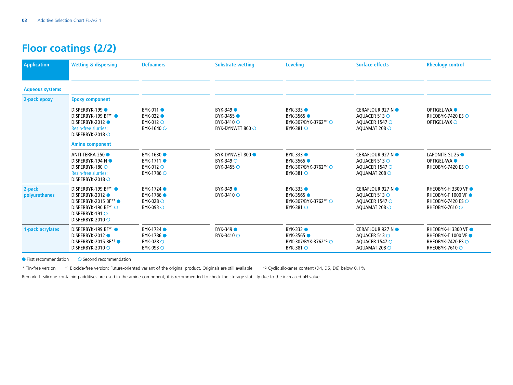## **Floor coatings (2/2)**

| <b>Application</b>      | <b>Wetting &amp; dispersing</b>                                                                                                  | <b>Defoamers</b>                                                 | <b>Substrate wetting</b>                                  | <b>Leveling</b>                                                                           | <b>Surface effects</b>                                                | <b>Rheology control</b>                                                                               |
|-------------------------|----------------------------------------------------------------------------------------------------------------------------------|------------------------------------------------------------------|-----------------------------------------------------------|-------------------------------------------------------------------------------------------|-----------------------------------------------------------------------|-------------------------------------------------------------------------------------------------------|
| <b>Aqueous systems</b>  |                                                                                                                                  |                                                                  |                                                           |                                                                                           |                                                                       |                                                                                                       |
| 2-pack epoxy            | <b>Epoxy component</b>                                                                                                           |                                                                  |                                                           |                                                                                           |                                                                       |                                                                                                       |
|                         | <b>DISPERBYK-199●</b><br>DISPERBYK-199 BF*1<br>DISPERBYK-2012<br><b>Resin-free slurries:</b><br>DISPERBYK-2018 $\circ$           | BYK-011 ●<br>BYK-022 ●<br>BYK-012 O<br>BYK-1640 ○                | BYK-349 ●<br>BYK-3455 ●<br>BYK-3410 ○<br>BYK-DYNWET 800 ○ | BYK-333 ●<br>BYK-3565 ●<br>BYK-307/BYK-3762 <sup>*2</sup> ○<br><b>BYK-381 O</b>           | CERAFLOUR 927 N ●<br>AQUACER 513 O<br>AQUACER 1547 O<br>AQUAMAT 208 O | OPTIGEL-WA <sup>O</sup><br>RHEOBYK-7420 ES ○<br>OPTIGEL-WX O                                          |
|                         | <b>Amine component</b>                                                                                                           |                                                                  |                                                           |                                                                                           |                                                                       |                                                                                                       |
|                         | ANTI-TERRA-250<br><b>DISPERBYK-194 N●</b><br>DISPERBYK-180 ○<br><b>Resin-free slurries:</b><br>DISPERBYK-2018 O                  | BYK-1630<br>BYK-1711 ●<br>BYK-012 O<br>BYK-1786 ○                | BYK-DYNWET 800 ·<br>BYK-349 O<br>BYK-3455 O               | BYK-333 <sup>6</sup><br>BYK-3565 ●<br>BYK-307/BYK-3762 <sup>*2</sup> ○<br>BYK-381 $\circ$ | CERAFLOUR 927 N ●<br>AQUACER 513 O<br>AQUACER 1547 O<br>AQUAMAT 208 O | LAPONITE-SL 25<br>OPTIGEL-WA <sup>O</sup><br>RHEOBYK-7420 ES $\bigcirc$                               |
| 2-pack<br>polyurethanes | DISPERBYK-199 BF*1 ●<br>DISPERBYK-2012<br>DISPERBYK-2015 BF*1<br>DISPERBYK-190 BF*1<br>DISPERBYK-191 O<br>DISPERBYK-2010 $\circ$ | BYK-1724 ●<br>BYK-1786<br><b>BYK-028</b> ○<br>BYK-093 ○          | BYK-349 ●<br>BYK-3410 ○                                   | BYK-333 ●<br>BYK-3565<br>BYK-307/BYK-3762 <sup>*2</sup> ○<br>BYK-381 O                    | CERAFLOUR 927 N ●<br>AQUACER 513 O<br>AOUACER 1547 O<br>AQUAMAT 208 O | <b>RHEOBYK-H 3300 VF ●</b><br><b>RHEOBYK-T 1000 VF ●</b><br>RHEOBYK-7420 ES ○<br>RHEOBYK-7610 O       |
| 1-pack acrylates        | DISPERBYK-199 BF*1 ●<br>DISPERBYK-2012<br>DISPERBYK-2015 BF*1 ●<br>DISPERBYK-2010 O                                              | BYK-1724 ●<br>BYK-1786 ●<br><b>BYK-028</b> ○<br><b>BYK-093</b> ○ | BYK-349 ●<br>BYK-3410 ○                                   | BYK-333 ●<br>BYK-3565 ●<br>BYK-307/BYK-3762 <sup>*2</sup> ○<br>BYK-381 O                  | CERAFLOUR 927 N ●<br>AQUACER 513 O<br>AQUACER 1547 O<br>AQUAMAT 208 O | <b>RHEOBYK-H 3300 VF ●</b><br><b>RHEOBYK-T 1000 VF ●</b><br>RHEOBYK-7420 ES $\circ$<br>RHEOBYK-7610 O |

 $\bullet$  First recommendation  $\bullet$  Second recommendation

\* Tin-free version \*1 Biocide-free version: Future-oriented variant of the original product. Originals are still available. \*2 Cyclic siloxanes content (D4, D5, D6) below 0.1%

Remark: If silicone-containing additives are used in the amine component, it is recommended to check the storage stability due to the increased pH value.